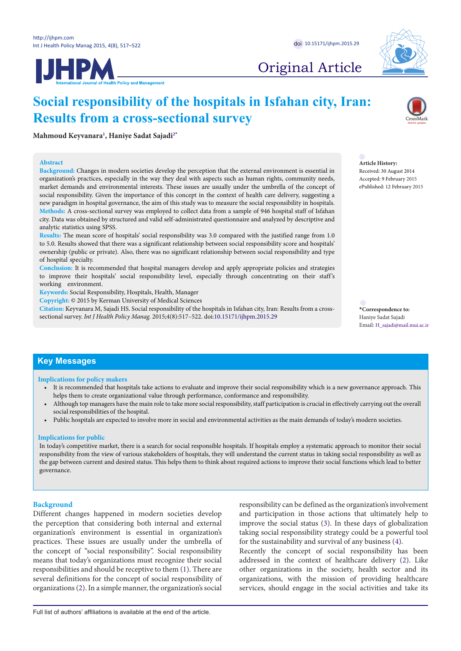

Original Article

# **Social responsibility of the hospitals in Isfahan city, Iran: Results from a cross-sectional survey**



**Mahmoud Keyvanara[1](#page-5-0) , Haniye Sadat Sajad[i2](#page-5-1)[\\*](#page-0-0)**

#### **Abstract**

**Background:** Changes in modern societies develop the perception that the external environment is essential in organization's practices, especially in the way they deal with aspects such as human rights, community needs, market demands and environmental interests. These issues are usually under the umbrella of the concept of social responsibility. Given the importance of this concept in the context of health care delivery, suggesting a new paradigm in hospital governance, the aim of this study was to measure the social responsibility in hospitals. **Methods:** A cross-sectional survey was employed to collect data from a sample of 946 hospital staff of Isfahan city. Data was obtained by structured and valid self-administrated questionnaire and analyzed by descriptive and analytic statistics using SPSS.

**Results:** The mean score of hospitals' social responsibility was 3.0 compared with the justified range from 1.0 to 5.0. Results showed that there was a significant relationship between social responsibility score and hospitals' ownership (public or private). Also, there was no significant relationship between social responsibility and type of hospital specialty.

**Conclusion:** It is recommended that hospital managers develop and apply appropriate policies and strategies to improve their hospitals' social responsibility level, especially through concentrating on their staff's working environment.

**Keywords:** Social Responsibility, Hospitals, Health, Manager

**Copyright:** © 2015 by Kerman University of Medical Sciences

**Citation:** Keyvanara M, Sajadi HS. Social responsibility of the hospitals in Isfahan city, Iran: Results from a crosssectional survey. *Int J Health Policy Manag.* 2015;4(8):517–522. doi[:10.15171/ijhpm.2015.29](http://dx.doi.org/10.15171/ijhpm.2015.29)

**Article History:** Received: 30 August 2014 Accepted: 9 February 2015 ePublished: 12 February 2015

<span id="page-0-0"></span>**\*Correspondence to:** Haniye Sadat Sajadi Email: H\_sajadi@mail.mui.ac.ir

# **Key Messages**

**Implications for policy makers**

- It is recommended that hospitals take actions to evaluate and improve their social responsibility which is a new governance approach. This helps them to create organizational value through performance, conformance and responsibility.
- Although top managers have the main role to take more social responsibility, staff participation is crucial in effectively carrying out the overall social responsibilities of the hospital.
- Public hospitals are expected to involve more in social and environmental activities as the main demands of today's modern societies.

# **Implications for public**

In today's competitive market, there is a search for social responsible hospitals. If hospitals employ a systematic approach to monitor their social responsibility from the view of various stakeholders of hospitals, they will understand the current status in taking social responsibility as well as the gap between current and desired status. This helps them to think about required actions to improve their social functions which lead to better governance.

# **Background**

Different changes happened in modern societies develop the perception that considering both internal and external organization's environment is essential in organization's practices. These issues are usually under the umbrella of the concept of "social responsibility". Social responsibility means that today's organizations must recognize their social responsibilities and should be receptive to them [\(1](#page-5-2)). There are several definitions for the concept of social responsibility of organizations ([2](#page-5-3)). In a simple manner, the organization's social responsibility can be defined as the organization's involvement and participation in those actions that ultimately help to improve the social status [\(3\)](#page-5-4). In these days of globalization taking social responsibility strategy could be a powerful tool for the sustainability and survival of any business [\(4\)](#page-5-5).

Recently the concept of social responsibility has been addressed in the context of healthcare delivery ([2\)](#page-5-3). Like other organizations in the society, health sector and its organizations, with the mission of providing healthcare services, should engage in the social activities and take its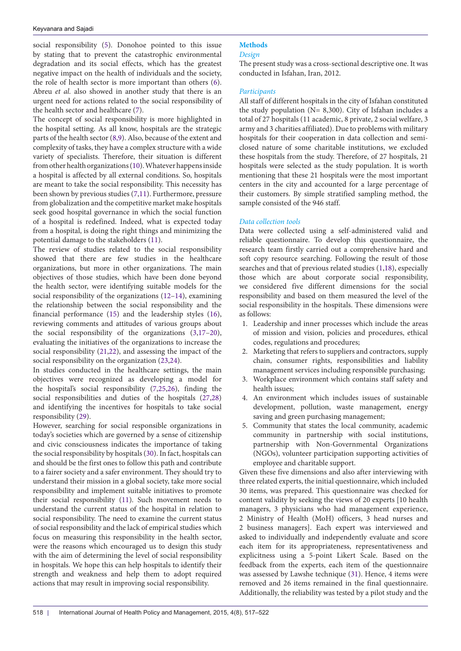social responsibility ([5\)](#page-5-6). Donohoe pointed to this issue by stating that to prevent the catastrophic environmental degradation and its social effects, which has the greatest negative impact on the health of individuals and the society, the role of health sector is more important than others ([6\)](#page-5-7). Abreu *et al.* also showed in another study that there is an urgent need for actions related to the social responsibility of the health sector and healthcare [\(7\)](#page-5-8).

The concept of social responsibility is more highlighted in the hospital setting. As all know, hospitals are the strategic parts of the health sector [\(8](#page-5-9)[,9](#page-5-10)). Also, because of the extent and complexity of tasks, they have a complex structure with a wide variety of specialists. Therefore, their situation is different from other health organizations [\(10\)](#page-5-11). Whatever happens inside a hospital is affected by all external conditions. So, hospitals are meant to take the social responsibility. This necessity has been shown by previous studies ([7,](#page-5-8)[11](#page-5-12)). Furthermore, pressure from globalization and the competitive market make hospitals seek good hospital governance in which the social function of a hospital is redefined. Indeed, what is expected today from a hospital, is doing the right things and minimizing the potential damage to the stakeholders ([11](#page-5-12)).

The review of studies related to the social responsibility showed that there are few studies in the healthcare organizations, but more in other organizations. The main objectives of those studies, which have been done beyond the health sector, were identifying suitable models for the social responsibility of the organizations [\(12–](#page-5-13)[14](#page-5-14)), examining the relationship between the social responsibility and the financial performance [\(15\)](#page-5-15) and the leadership styles ([16\)](#page-5-16), reviewing comments and attitudes of various groups about the social responsibility of the organizations [\(3](#page-5-4)[,17–](#page-5-17)[20\)](#page-5-18), evaluating the initiatives of the organizations to increase the social responsibility ([21](#page-5-19),[22](#page-5-20)), and assessing the impact of the social responsibility on the organization ([23](#page-5-21)[,24](#page-5-22)).

In studies conducted in the healthcare settings, the main objectives were recognized as developing a model for the hospital's social responsibility [\(7](#page-5-8)[,25](#page-5-23)[,26\)](#page-5-24), finding the social responsibilities and duties of the hospitals [\(27](#page-5-25)[,28\)](#page-5-26) and identifying the incentives for hospitals to take social responsibility [\(29\)](#page-5-27).

However, searching for social responsible organizations in today's societies which are governed by a sense of citizenship and civic consciousness indicates the importance of taking the social responsibility by hospitals ([30\)](#page-5-28). In fact, hospitals can and should be the first ones to follow this path and contribute to a fairer society and a safer environment. They should try to understand their mission in a global society, take more social responsibility and implement suitable initiatives to promote their social responsibility [\(11\)](#page-5-12). Such movement needs to understand the current status of the hospital in relation to social responsibility. The need to examine the current status of social responsibility and the lack of empirical studies which focus on measuring this responsibility in the health sector, were the reasons which encouraged us to design this study with the aim of determining the level of social responsibility in hospitals. We hope this can help hospitals to identify their strength and weakness and help them to adopt required actions that may result in improving social responsibility.

# **Methods**

# *Design*

The present study was a cross-sectional descriptive one. It was conducted in Isfahan, Iran, 2012.

# *Participants*

All staff of different hospitals in the city of Isfahan constituted the study population (N= 8,300). City of Isfahan includes a total of 27 hospitals (11 academic, 8 private, 2 social welfare, 3 army and 3 charities affiliated). Due to problems with military hospitals for their cooperation in data collection and semiclosed nature of some charitable institutions, we excluded these hospitals from the study. Therefore, of 27 hospitals, 21 hospitals were selected as the study population. It is worth mentioning that these 21 hospitals were the most important centers in the city and accounted for a large percentage of their customers. By simple stratified sampling method, the sample consisted of the 946 staff.

# *Data collection tools*

Data were collected using a self-administered valid and reliable questionnaire. To develop this questionnaire, the research team firstly carried out a comprehensive hard and soft copy resource searching. Following the result of those searches and that of previous related studies ([1](#page-5-2),[18](#page-5-29)), especially those which are about corporate social responsibility, we considered five different dimensions for the social responsibility and based on them measured the level of the social responsibility in the hospitals. These dimensions were as follows:

- 1. Leadership and inner processes which include the areas of mission and vision, policies and procedures, ethical codes, regulations and procedures;
- 2. Marketing that refers to suppliers and contractors, supply chain, consumer rights, responsibilities and liability management services including responsible purchasing;
- 3. Workplace environment which contains staff safety and health issues;
- 4. An environment which includes issues of sustainable development, pollution, waste management, energy saving and green purchasing management;
- 5. Community that states the local community, academic community in partnership with social institutions, partnership with Non-Governmental Organizations (NGOs), volunteer participation supporting activities of employee and charitable support.

Given these five dimensions and also after interviewing with three related experts, the initial questionnaire, which included 30 items, was prepared. This questionnaire was checked for content validity by seeking the views of 20 experts [10 health managers, 3 physicians who had management experience, 2 Ministry of Health (MoH) officers, 3 head nurses and 2 business managers]. Each expert was interviewed and asked to individually and independently evaluate and score each item for its appropriateness, representativeness and explicitness using a 5-point Likert Scale. Based on the feedback from the experts, each item of the questionnaire was assessed by Lawshe technique [\(31\)](#page-5-30). Hence, 4 items were removed and 26 items remained in the final questionnaire. Additionally, the reliability was tested by a pilot study and the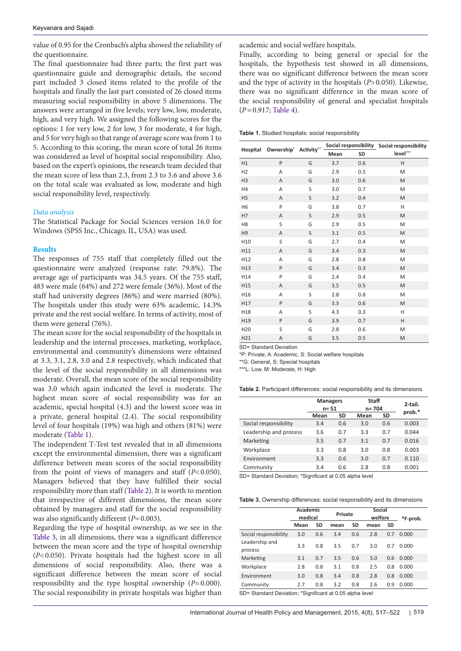value of 0.95 for the Cronbach's alpha showed the reliability of the questionnaire.

The final questionnaire had three parts; the first part was questionnaire guide and demographic details, the second part included 3 closed items related to the profile of the hospitals and finally the last part consisted of 26 closed items measuring social responsibility in above 5 dimensions. The answers were arranged in five levels; very low, low, moderate, high, and very high. We assigned the following scores for the options: 1 for very low, 2 for low, 3 for moderate, 4 for high, and 5 for very high so that range of average score was from 1 to 5. According to this scoring, the mean score of total 26 items was considered as level of hospital social responsibility. Also, based on the expert's opinions, the research team decided that the mean score of less than 2.3, from 2.3 to 3.6 and above 3.6 on the total scale was evaluated as low, moderate and high social responsibility level, respectively.

### *Data analysis*

The Statistical Package for Social Sciences version 16.0 for Windows (SPSS Inc., Chicago, IL, USA) was used.

### **Results**

The responses of 755 staff that completely filled out the questionnaire were analyzed (response rate: 79.8%). The average age of participants was 34.5 years. Of the 755 staff, 483 were male (64%) and 272 were female (36%). Most of the staff had university degrees (86%) and were married (80%). The hospitals under this study were 63% academic, 14.3% private and the rest social welfare. In terms of activity, most of them were general (76%).

The mean score for the social responsibility of the hospitals in leadership and the internal processes, marketing, workplace, environmental and community's dimensions were obtained at 3.3, 3.1, 2.8, 3.0 and 2.8 respectively, which indicated that the level of the social responsibility in all dimensions was moderate. Overall, the mean score of the social responsibility was 3.0 which again indicated the level is moderate. The highest mean score of social responsibility was for an academic, special hospital (4.3) and the lowest score was in a private, general hospital (2.4). The social responsibility level of four hospitals (19%) was high and others (81%) were moderate [\(Table 1\)](#page-2-0).

The independent T-Test test revealed that in all dimensions except the environmental dimension, there was a significant difference between mean scores of the social responsibility from the point of views of managers and staff (*P*<0.050). Managers believed that they have fulfilled their social responsibility more than staff [\(Table 2](#page-2-1)). It is worth to mention that irrespective of different dimensions, the mean score obtained by managers and staff for the social responsibility was also significantly different ( $P=0.003$ ).

Regarding the type of hospital ownership, as we see in the [Table 3](#page-2-2), in all dimensions, there was a significant difference between the mean score and the type of hospital ownership (*P*<0.050). Private hospitals had the highest score in all dimensions of social responsibility. Also, there was a significant difference between the mean score of social responsibility and the type hospital ownership (*P*=0.000). The social responsibility in private hospitals was higher than academic and social welfare hospitals.

Finally, according to being general or special for the hospitals, the hypothesis test showed in all dimensions, there was no significant difference between the mean score and the type of activity in the hospitals (*P*>0.050). Likewise, there was no significant difference in the mean score of the social responsibility of general and specialist hospitals (*P*=0.917; [Table 4\)](#page-3-0).

<span id="page-2-0"></span>

| Table 1. Studied hospitals: social responsibility |  |  |  |  |
|---------------------------------------------------|--|--|--|--|
|---------------------------------------------------|--|--|--|--|

|                 |                                              |   |      |           | Social responsibility Social responsibility |  |
|-----------------|----------------------------------------------|---|------|-----------|---------------------------------------------|--|
| Hospital        | Ownership <sup>*</sup> Activity <sup>*</sup> |   | Mean | <b>SD</b> | level***                                    |  |
| H1              | P                                            | G | 3.7  | 0.6       | H                                           |  |
| H2              | A                                            | G | 2.9  | 0.5       | M                                           |  |
| H <sub>3</sub>  | $\overline{A}$                               | G | 3.0  | 0.6       | M                                           |  |
| H4              | A                                            | S | 3.0  | 0.7       | M                                           |  |
| H <sub>5</sub>  | $\overline{A}$                               | S | 3.2  | 0.4       | M                                           |  |
| H <sub>6</sub>  | P                                            | G | 3.8  | 0.7       | H                                           |  |
| H7              | $\overline{A}$                               | S | 2.9  | 0.5       | M                                           |  |
| H <sub>8</sub>  | S                                            | G | 2.9  | 0.5       | M                                           |  |
| H <sub>9</sub>  | $\overline{A}$                               | S | 3.1  | 0.5       | M                                           |  |
| H10             | S                                            | G | 2.7  | 0.4       | M                                           |  |
| H11             | $\overline{A}$                               | G | 3.4  | 0.3       | M                                           |  |
| H12             | A                                            | G | 2.8  | 0.8       | M                                           |  |
| H13             | P                                            | G | 3.4  | 0.3       | M                                           |  |
| H14             | P                                            | G | 2.4  | 0.4       | M                                           |  |
| H15             | $\overline{A}$                               | G | 3.5  | 0.5       | M                                           |  |
| H16             | A                                            | S | 2.8  | 0.8       | M                                           |  |
| H17             | P                                            | G | 3.3  | 0.6       | M                                           |  |
| H18             | A                                            | S | 4.3  | 0.3       | H                                           |  |
| H19             | P                                            | G | 3.9  | 0.7       | H                                           |  |
| H <sub>20</sub> | S                                            | G | 2.8  | 0.6       | M                                           |  |
| H21             | Α                                            | G | 3.5  | 0.5       | M                                           |  |

SD= Standard Deviation

\*P: Private, A: Academic, S: Social welfare hospitals

\*\*G: General, S: Special hospitals

\*\*\*L: Low, M: Moderate, H: High

<span id="page-2-1"></span>**Table 2.** Participant differences: social responsibility and its dimensions

|                        | <b>Managers</b><br>$n = 51$ |     | Staff<br>$n = 704$ |     | 2-tail.<br>prob.* |
|------------------------|-----------------------------|-----|--------------------|-----|-------------------|
|                        | Mean                        | SD  | Mean               | SD  |                   |
| Social responsibility  | 3.4                         | 0.6 | 3.0                | 0.6 | 0.003             |
| Leadership and process | 3.6                         | 0.7 | 3.3                | 0.7 | 0.044             |
| Marketing              | 3.5                         | 0.7 | 3.1                | 0.7 | 0.016             |
| Workplace              | 3.3                         | 0.8 | 3.0                | 0.8 | 0.003             |
| Environment            | 3.3                         | 0.6 | 3.0                | 0.7 | 0.110             |
| Community              | 3.4                         | 0.6 | 2.8                | 0.8 | 0.001             |

SD= Standard Deviation; \*Significant at 0.05 alpha level

<span id="page-2-2"></span>**Table 3.** Ownership differences: social responsibility and its dimensions

|                                                          | Academic<br>medical |           | Private |           | <b>Social</b><br>welfare |     | *F-prob. |
|----------------------------------------------------------|---------------------|-----------|---------|-----------|--------------------------|-----|----------|
|                                                          | Mean                | <b>SD</b> | mean    | <b>SD</b> | mean                     | SD  |          |
| Social responsibility                                    | 3.0                 | 0.6       | 3.4     | 0.6       | 2.8                      | 0.7 | 0.000    |
| Leadership and<br>process                                | 3.3                 | 0.8       | 3.5     | 0.7       | 3.0                      | 0.7 | 0.000    |
| Marketing                                                | 3.1                 | 0.7       | 3.5     | 0.6       | 3.0                      | 0.6 | 0.000    |
| Workplace                                                | 2.8                 | 0.8       | 3.1     | 0.8       | 2.5                      | 0.8 | 0.000    |
| Environment                                              | 3.0                 | 0.8       | 3.4     | 0.8       | 2.8                      | 0.8 | 0.000    |
| Community                                                | 2.7                 | 0.8       | 3.2     | 0.8       | 2.6                      | 0.9 | 0.000    |
| SD= Standard Deviation; *Significant at 0.05 alpha level |                     |           |         |           |                          |     |          |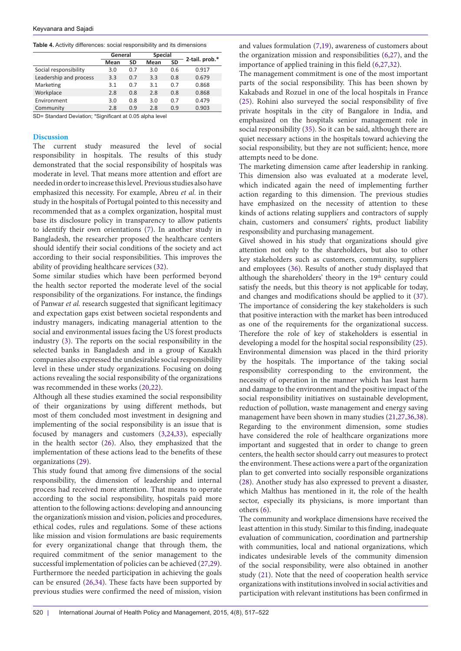<span id="page-3-0"></span>

|  | Table 4. Activity differences: social responsibility and its dimensions |
|--|-------------------------------------------------------------------------|
|--|-------------------------------------------------------------------------|

|                        | General |     | <b>Special</b> |           |                |
|------------------------|---------|-----|----------------|-----------|----------------|
|                        | Mean    | SD  | Mean           | <b>SD</b> | 2-tail. prob.* |
| Social responsibility  | 3.0     | 0.7 | 3.0            | 0.6       | 0.917          |
| Leadership and process | 3.3     | 0.7 | 3.3            | 0.8       | 0.679          |
| Marketing              | 3.1     | 0.7 | 3.1            | 0.7       | 0.868          |
| Workplace              | 2.8     | 0.8 | 2.8            | 0.8       | 0.868          |
| Environment            | 3.0     | 0.8 | 3.0            | 0.7       | 0.479          |
| Community              | 2.8     | 0.9 | 2.8            | 0.9       | 0.903          |

SD= Standard Deviation; \*Significant at 0.05 alpha level

#### **Discussion**

The current study measured the level of social responsibility in hospitals. The results of this study demonstrated that the social responsibility of hospitals was moderate in level. That means more attention and effort are needed in order to increase this level. Previous studies also have emphasized this necessity. For example, Abreu *et al.* in their study in the hospitals of Portugal pointed to this necessity and recommended that as a complex organization, hospital must base its disclosure policy in transparency to allow patients to identify their own orientations ([7\)](#page-5-8). In another study in Bangladesh, the researcher proposed the healthcare centers should identify their social conditions of the society and act according to their social responsibilities. This improves the ability of providing healthcare services ([32](#page-5-31)).

Some similar studies which have been performed beyond the health sector reported the moderate level of the social responsibility of the organizations. For instance, the findings of Panwar *et al.* research suggested that significant legitimacy and expectation gaps exist between societal respondents and industry managers, indicating managerial attention to the social and environmental issues facing the US forest products industry [\(3](#page-5-4)). The reports on the social responsibility in the selected banks in Bangladesh and in a group of Kazakh companies also expressed the undesirable social responsibility level in these under study organizations. Focusing on doing actions revealing the social responsibility of the organizations was recommended in these works [\(20,](#page-5-18)[22\)](#page-5-20).

Although all these studies examined the social responsibility of their organizations by using different methods, but most of them concluded most investment in designing and implementing of the social responsibility is an issue that is focused by managers and customers [\(3](#page-5-4)[,24,](#page-5-22)[33\)](#page-5-32), especially in the health sector [\(26](#page-5-24)). Also, they emphasized that the implementation of these actions lead to the benefits of these organizations [\(29\)](#page-5-27).

This study found that among five dimensions of the social responsibility, the dimension of leadership and internal process had received more attention. That means to operate according to the social responsibility, hospitals paid more attention to the following actions: developing and announcing the organization's mission and vision, policies and procedures, ethical codes, rules and regulations. Some of these actions like mission and vision formulations are basic requirements for every organizational change that through them, the required commitment of the senior management to the successful implementation of policies can be achieved [\(27,](#page-5-25)[29\)](#page-5-27). Furthermore the needed participation in achieving the goals can be ensured ([26](#page-5-24)[,34](#page-5-33)). These facts have been supported by previous studies were confirmed the need of mission, vision and values formulation [\(7,](#page-5-8)[19\)](#page-5-34), awareness of customers about the organization mission and responsibilities ([6](#page-5-7),[27](#page-5-25)), and the importance of applied training in this field [\(6](#page-5-7)[,27](#page-5-25)[,32\)](#page-5-31).

The management commitment is one of the most important parts of the social responsibility. This has been shown by Kakabads and Rozuel in one of the local hospitals in France [\(25\)](#page-5-23). Rohini also surveyed the social responsibility of five private hospitals in the city of Bangalore in India, and emphasized on the hospitals senior management role in social responsibility ([35](#page-5-35)). So it can be said, although there are quiet necessary actions in the hospitals toward achieving the social responsibility, but they are not sufficient; hence, more attempts need to be done.

The marketing dimension came after leadership in ranking. This dimension also was evaluated at a moderate level, which indicated again the need of implementing further action regarding to this dimension. The previous studies have emphasized on the necessity of attention to these kinds of actions relating suppliers and contractors of supply chain, customers and consumers' rights, product liability responsibility and purchasing management.

Givel showed in his study that organizations should give attention not only to the shareholders, but also to other key stakeholders such as customers, community, suppliers and employees [\(36](#page-5-36)). Results of another study displayed that although the shareholders' theory in the 19<sup>th</sup> century could satisfy the needs, but this theory is not applicable for today, and changes and modifications should be applied to it [\(37](#page-5-37)). The importance of considering the key stakeholders is such that positive interaction with the market has been introduced as one of the requirements for the organizational success. Therefore the role of key of stakeholders is essential in developing a model for the hospital social responsibility ([25](#page-5-23)). Environmental dimension was placed in the third priority by the hospitals. The importance of the taking social responsibility corresponding to the environment, the necessity of operation in the manner which has least harm and damage to the environment and the positive impact of the social responsibility initiatives on sustainable development, reduction of pollution, waste management and energy saving management have been shown in many studies ([21](#page-5-19),[27](#page-5-25),[36](#page-5-36)[,38](#page-5-38)). Regarding to the environment dimension, some studies have considered the role of healthcare organizations more important and suggested that in order to change to green centers, the health sector should carry out measures to protect the environment. These actions were a part of the organization plan to get converted into socially responsible organizations [\(28\)](#page-5-26). Another study has also expressed to prevent a disaster, which Malthus has mentioned in it, the role of the health sector, especially its physicians, is more important than others ([6](#page-5-7)).

The community and workplace dimensions have received the least attention in this study. Similar to this finding, inadequate evaluation of communication, coordination and partnership with communities, local and national organizations, which indicates undesirable levels of the community dimension of the social responsibility, were also obtained in another study [\(21\)](#page-5-19). Note that the need of cooperation health service organizations with institutions involved in social activities and participation with relevant institutions has been confirmed in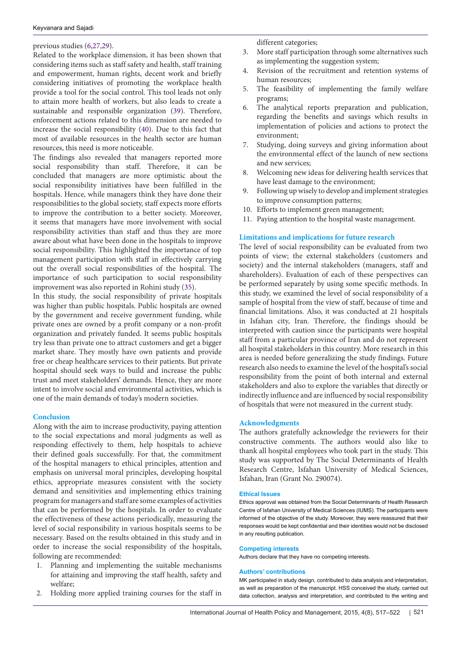# previous studies ([6](#page-5-7),[27](#page-5-25),[29](#page-5-27)).

Related to the workplace dimension, it has been shown that considering items such as staff safety and health, staff training and empowerment, human rights, decent work and briefly considering initiatives of promoting the workplace health provide a tool for the social control. This tool leads not only to attain more health of workers, but also leads to create a sustainable and responsible organization ([39](#page-5-39)). Therefore, enforcement actions related to this dimension are needed to increase the social responsibility ([40](#page-5-40)). Due to this fact that most of available resources in the health sector are human resources, this need is more noticeable.

The findings also revealed that managers reported more social responsibility than staff. Therefore, it can be concluded that managers are more optimistic about the social responsibility initiatives have been fulfilled in the hospitals. Hence, while managers think they have done their responsibilities to the global society, staff expects more efforts to improve the contribution to a better society. Moreover, it seems that managers have more involvement with social responsibility activities than staff and thus they are more aware about what have been done in the hospitals to improve social responsibility. This highlighted the importance of top management participation with staff in effectively carrying out the overall social responsibilities of the hospital. The importance of such participation to social responsibility improvement was also reported in Rohini study [\(35\)](#page-5-35).

In this study, the social responsibility of private hospitals was higher than public hospitals. Public hospitals are owned by the government and receive government funding, while private ones are owned by a profit company or a non-profit organization and privately funded. It seems public hospitals try less than private one to attract customers and get a bigger market share. They mostly have own patients and provide free or cheap healthcare services to their patients. But private hospital should seek ways to build and increase the public trust and meet stakeholders' demands. Hence, they are more intent to involve social and environmental activities, which is one of the main demands of today's modern societies.

# **Conclusion**

Along with the aim to increase productivity, paying attention to the social expectations and moral judgments as well as responding effectively to them, help hospitals to achieve their defined goals successfully. For that, the commitment of the hospital managers to ethical principles, attention and emphasis on universal moral principles, developing hospital ethics, appropriate measures consistent with the society demand and sensitivities and implementing ethics training program for managers and staff are some examples of activities that can be performed by the hospitals. In order to evaluate the effectiveness of these actions periodically, measuring the level of social responsibility in various hospitals seems to be necessary. Based on the results obtained in this study and in order to increase the social responsibility of the hospitals, following are recommended:

- 1. Planning and implementing the suitable mechanisms for attaining and improving the staff health, safety and welfare;
- 2. Holding more applied training courses for the staff in

different categories;

- 3. More staff participation through some alternatives such as implementing the suggestion system;
- 4. Revision of the recruitment and retention systems of human resources;
- 5. The feasibility of implementing the family welfare programs;
- 6. The analytical reports preparation and publication, regarding the benefits and savings which results in implementation of policies and actions to protect the environment;
- 7. Studying, doing surveys and giving information about the environmental effect of the launch of new sections and new services;
- 8. Welcoming new ideas for delivering health services that have least damage to the environment;
- 9. Following up wisely to develop and implement strategies to improve consumption patterns;
- 10. Efforts to implement green management;
- 11. Paying attention to the hospital waste management.

# **Limitations and implications for future research**

The level of social responsibility can be evaluated from two points of view; the external stakeholders (customers and society) and the internal stakeholders (managers, staff and shareholders). Evaluation of each of these perspectives can be performed separately by using some specific methods. In this study, we examined the level of social responsibility of a sample of hospital from the view of staff, because of time and financial limitations. Also, it was conducted at 21 hospitals in Isfahan city, Iran. Therefore, the findings should be interpreted with caution since the participants were hospital staff from a particular province of Iran and do not represent all hospital stakeholders in this country. More research in this area is needed before generalizing the study findings. Future research also needs to examine the level of the hospital's social responsibility from the point of both internal and external stakeholders and also to explore the variables that directly or indirectly influence and are influenced by social responsibility of hospitals that were not measured in the current study.

# **Acknowledgments**

The authors gratefully acknowledge the reviewers for their constructive comments. The authors would also like to thank all hospital employees who took part in the study. This study was supported by The Social Determinants of Health Research Centre, Isfahan University of Medical Sciences, Isfahan, Iran (Grant No. 290074).

#### **Ethical Issues**

Ethics approval was obtained from the Social Determinants of Health Research Centre of Isfahan University of Medical Sciences (IUMS). The participants were informed of the objective of the study. Moreover, they were reassured that their responses would be kept confidential and their identities would not be disclosed in any resulting publication.

#### **Competing interests**

Authors declare that they have no competing interests.

### **Authors' contributions**

MK participated in study design, contributed to data analysis and interpretation, as well as preparation of the manuscript. HSS conceived the study, carried out data collection, analysis and interpretation, and contributed to the writing and